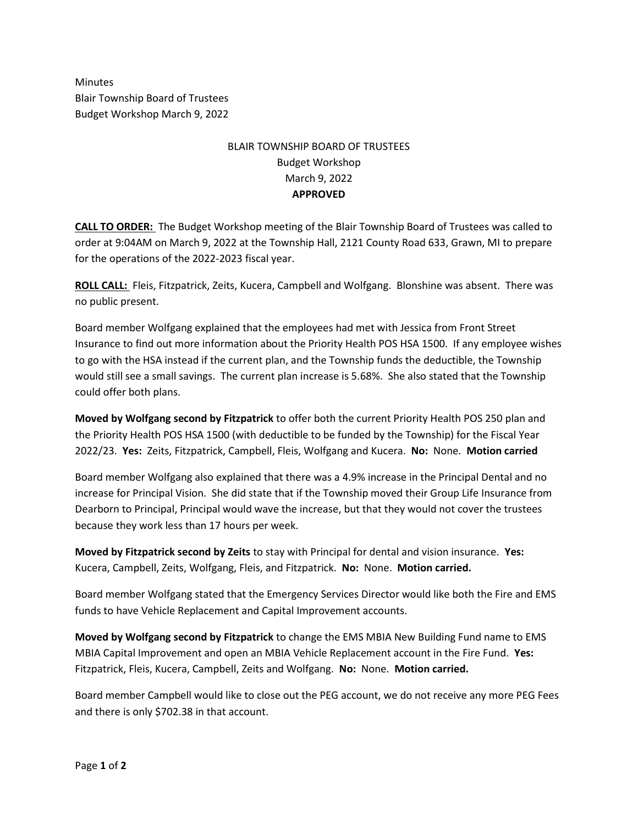Minutes Blair Township Board of Trustees Budget Workshop March 9, 2022

## BLAIR TOWNSHIP BOARD OF TRUSTEES Budget Workshop March 9, 2022 **APPROVED**

**CALL TO ORDER:** The Budget Workshop meeting of the Blair Township Board of Trustees was called to order at 9:04AM on March 9, 2022 at the Township Hall, 2121 County Road 633, Grawn, MI to prepare for the operations of the 2022-2023 fiscal year.

**ROLL CALL:** Fleis, Fitzpatrick, Zeits, Kucera, Campbell and Wolfgang. Blonshine was absent. There was no public present.

Board member Wolfgang explained that the employees had met with Jessica from Front Street Insurance to find out more information about the Priority Health POS HSA 1500. If any employee wishes to go with the HSA instead if the current plan, and the Township funds the deductible, the Township would still see a small savings. The current plan increase is 5.68%. She also stated that the Township could offer both plans.

**Moved by Wolfgang second by Fitzpatrick** to offer both the current Priority Health POS 250 plan and the Priority Health POS HSA 1500 (with deductible to be funded by the Township) for the Fiscal Year 2022/23. **Yes:** Zeits, Fitzpatrick, Campbell, Fleis, Wolfgang and Kucera. **No:** None. **Motion carried**

Board member Wolfgang also explained that there was a 4.9% increase in the Principal Dental and no increase for Principal Vision. She did state that if the Township moved their Group Life Insurance from Dearborn to Principal, Principal would wave the increase, but that they would not cover the trustees because they work less than 17 hours per week.

**Moved by Fitzpatrick second by Zeits** to stay with Principal for dental and vision insurance. **Yes:** Kucera, Campbell, Zeits, Wolfgang, Fleis, and Fitzpatrick. **No:** None. **Motion carried.**

Board member Wolfgang stated that the Emergency Services Director would like both the Fire and EMS funds to have Vehicle Replacement and Capital Improvement accounts.

**Moved by Wolfgang second by Fitzpatrick** to change the EMS MBIA New Building Fund name to EMS MBIA Capital Improvement and open an MBIA Vehicle Replacement account in the Fire Fund. **Yes:** Fitzpatrick, Fleis, Kucera, Campbell, Zeits and Wolfgang. **No:** None. **Motion carried.**

Board member Campbell would like to close out the PEG account, we do not receive any more PEG Fees and there is only \$702.38 in that account.